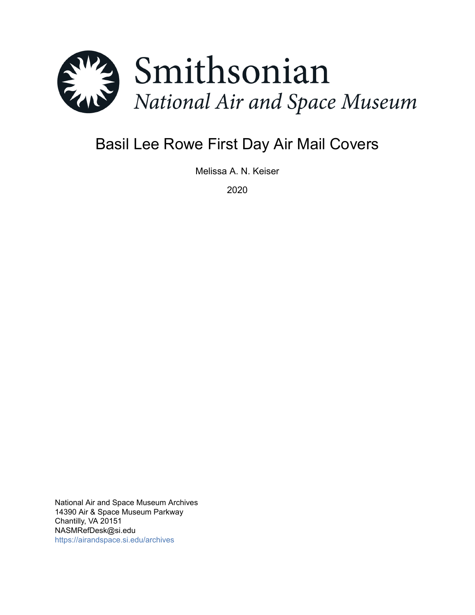

# Basil Lee Rowe First Day Air Mail Covers

Melissa A. N. Keiser

2020

National Air and Space Museum Archives 14390 Air & Space Museum Parkway Chantilly, VA 20151 NASMRefDesk@si.edu <https://airandspace.si.edu/archives>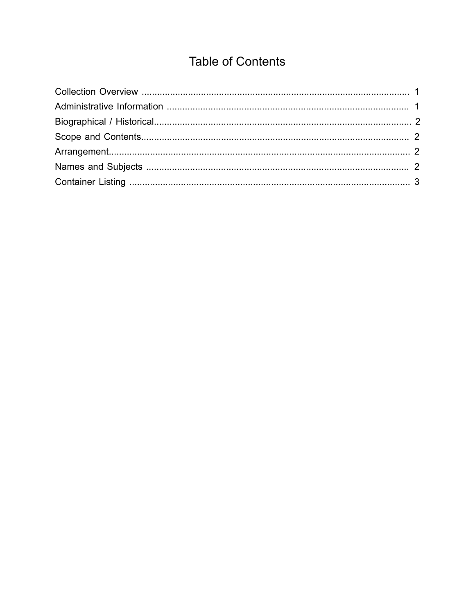## **Table of Contents**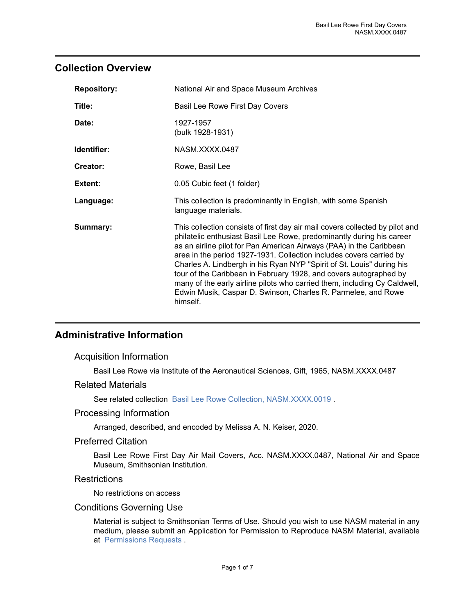## <span id="page-2-0"></span>**Collection Overview**

| <b>Repository:</b> | National Air and Space Museum Archives                                                                                                                                                                                                                                                                                                                                                                                                                                                                                                                                                                      |
|--------------------|-------------------------------------------------------------------------------------------------------------------------------------------------------------------------------------------------------------------------------------------------------------------------------------------------------------------------------------------------------------------------------------------------------------------------------------------------------------------------------------------------------------------------------------------------------------------------------------------------------------|
| Title:             | Basil Lee Rowe First Day Covers                                                                                                                                                                                                                                                                                                                                                                                                                                                                                                                                                                             |
| Date:              | 1927-1957<br>(bulk 1928-1931)                                                                                                                                                                                                                                                                                                                                                                                                                                                                                                                                                                               |
| Identifier:        | NASM.XXXX.0487                                                                                                                                                                                                                                                                                                                                                                                                                                                                                                                                                                                              |
| Creator:           | Rowe, Basil Lee                                                                                                                                                                                                                                                                                                                                                                                                                                                                                                                                                                                             |
| Extent:            | 0.05 Cubic feet (1 folder)                                                                                                                                                                                                                                                                                                                                                                                                                                                                                                                                                                                  |
| Language:          | This collection is predominantly in English, with some Spanish<br>language materials.                                                                                                                                                                                                                                                                                                                                                                                                                                                                                                                       |
| Summary:           | This collection consists of first day air mail covers collected by pilot and<br>philatelic enthusiast Basil Lee Rowe, predominantly during his career<br>as an airline pilot for Pan American Airways (PAA) in the Caribbean<br>area in the period 1927-1931. Collection includes covers carried by<br>Charles A. Lindbergh in his Ryan NYP "Spirit of St. Louis" during his<br>tour of the Caribbean in February 1928, and covers autographed by<br>many of the early airline pilots who carried them, including Cy Caldwell,<br>Edwin Musik, Caspar D. Swinson, Charles R. Parmelee, and Rowe<br>himself. |

## <span id="page-2-1"></span>**Administrative Information**

#### Acquisition Information

Basil Lee Rowe via Institute of the Aeronautical Sciences, Gift, 1965, NASM.XXXX.0487

#### Related Materials

See related collection [Basil Lee Rowe Collection, NASM.XXXX.0019](https://sova.si.edu//record/NASM.XXXX.0019).

#### Processing Information

Arranged, described, and encoded by Melissa A. N. Keiser, 2020.

#### Preferred Citation

Basil Lee Rowe First Day Air Mail Covers, Acc. NASM.XXXX.0487, National Air and Space Museum, Smithsonian Institution.

#### **Restrictions**

No restrictions on access

#### Conditions Governing Use

Material is subject to Smithsonian Terms of Use. Should you wish to use NASM material in any medium, please submit an Application for Permission to Reproduce NASM Material, available at [Permissions Requests](http://airandspace.si.edu/permissions) .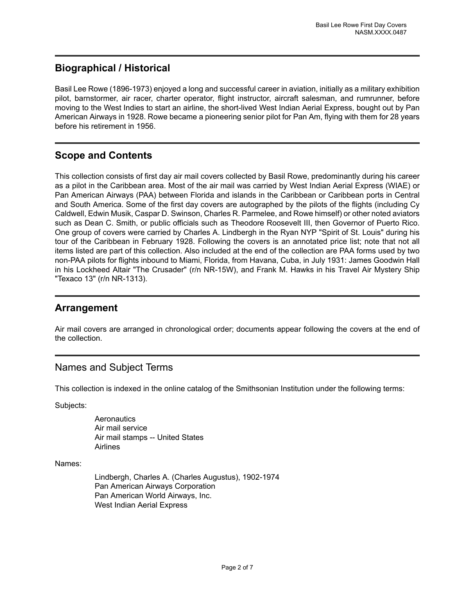## <span id="page-3-0"></span>**Biographical / Historical**

Basil Lee Rowe (1896-1973) enjoyed a long and successful career in aviation, initially as a military exhibition pilot, barnstormer, air racer, charter operator, flight instructor, aircraft salesman, and rumrunner, before moving to the West Indies to start an airline, the short-lived West Indian Aerial Express, bought out by Pan American Airways in 1928. Rowe became a pioneering senior pilot for Pan Am, flying with them for 28 years before his retirement in 1956.

## <span id="page-3-1"></span>**Scope and Contents**

This collection consists of first day air mail covers collected by Basil Rowe, predominantly during his career as a pilot in the Caribbean area. Most of the air mail was carried by West Indian Aerial Express (WIAE) or Pan American Airways (PAA) between Florida and islands in the Caribbean or Caribbean ports in Central and South America. Some of the first day covers are autographed by the pilots of the flights (including Cy Caldwell, Edwin Musik, Caspar D. Swinson, Charles R. Parmelee, and Rowe himself) or other noted aviators such as Dean C. Smith, or public officials such as Theodore Roosevelt III, then Governor of Puerto Rico. One group of covers were carried by Charles A. Lindbergh in the Ryan NYP "Spirit of St. Louis" during his tour of the Caribbean in February 1928. Following the covers is an annotated price list; note that not all items listed are part of this collection. Also included at the end of the collection are PAA forms used by two non-PAA pilots for flights inbound to Miami, Florida, from Havana, Cuba, in July 1931: James Goodwin Hall in his Lockheed Altair "The Crusader" (r/n NR-15W), and Frank M. Hawks in his Travel Air Mystery Ship "Texaco 13" (r/n NR-1313).

## <span id="page-3-2"></span>**Arrangement**

Air mail covers are arranged in chronological order; documents appear following the covers at the end of the collection.

## <span id="page-3-3"></span>Names and Subject Terms

This collection is indexed in the online catalog of the Smithsonian Institution under the following terms:

Subjects:

**Aeronautics** Air mail service Air mail stamps -- United States Airlines

Names:

Lindbergh, Charles A. (Charles Augustus), 1902-1974 Pan American Airways Corporation Pan American World Airways, Inc. West Indian Aerial Express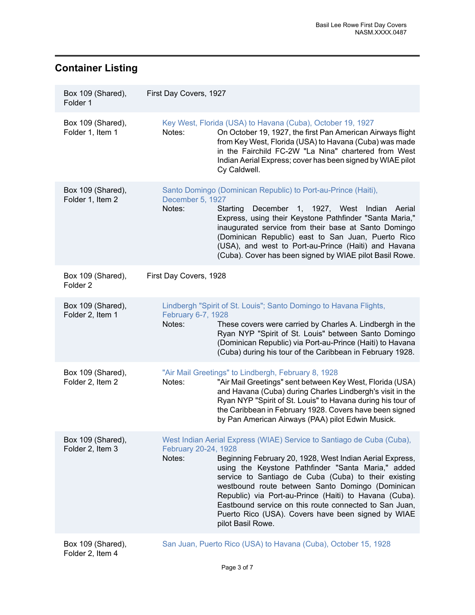## <span id="page-4-0"></span>**Container Listing**

| Box 109 (Shared),<br>Folder 1            | First Day Covers, 1927                                                                                                                                                                                                                                                                                                                                                                                                                                                                                                               |
|------------------------------------------|--------------------------------------------------------------------------------------------------------------------------------------------------------------------------------------------------------------------------------------------------------------------------------------------------------------------------------------------------------------------------------------------------------------------------------------------------------------------------------------------------------------------------------------|
| Box 109 (Shared),<br>Folder 1, Item 1    | Key West, Florida (USA) to Havana (Cuba), October 19, 1927<br>Notes:<br>On October 19, 1927, the first Pan American Airways flight<br>from Key West, Florida (USA) to Havana (Cuba) was made<br>in the Fairchild FC-2W "La Nina" chartered from West<br>Indian Aerial Express; cover has been signed by WIAE pilot<br>Cy Caldwell.                                                                                                                                                                                                   |
| Box 109 (Shared),<br>Folder 1, Item 2    | Santo Domingo (Dominican Republic) to Port-au-Prince (Haiti),<br>December 5, 1927<br>Notes:<br>December 1, 1927, West Indian<br>Starting<br>Aerial<br>Express, using their Keystone Pathfinder "Santa Maria,"<br>inaugurated service from their base at Santo Domingo<br>(Dominican Republic) east to San Juan, Puerto Rico<br>(USA), and west to Port-au-Prince (Haiti) and Havana<br>(Cuba). Cover has been signed by WIAE pilot Basil Rowe.                                                                                       |
| Box 109 (Shared),<br>Folder <sub>2</sub> | First Day Covers, 1928                                                                                                                                                                                                                                                                                                                                                                                                                                                                                                               |
| Box 109 (Shared),<br>Folder 2, Item 1    | Lindbergh "Spirit of St. Louis"; Santo Domingo to Havana Flights,<br>February 6-7, 1928<br>Notes:<br>These covers were carried by Charles A. Lindbergh in the<br>Ryan NYP "Spirit of St. Louis" between Santo Domingo<br>(Dominican Republic) via Port-au-Prince (Haiti) to Havana<br>(Cuba) during his tour of the Caribbean in February 1928.                                                                                                                                                                                      |
| Box 109 (Shared),<br>Folder 2, Item 2    | "Air Mail Greetings" to Lindbergh, February 8, 1928<br>"Air Mail Greetings" sent between Key West, Florida (USA)<br>Notes:<br>and Havana (Cuba) during Charles Lindbergh's visit in the<br>Ryan NYP "Spirit of St. Louis" to Havana during his tour of<br>the Caribbean in February 1928. Covers have been signed<br>by Pan American Airways (PAA) pilot Edwin Musick.                                                                                                                                                               |
| Box 109 (Shared),<br>Folder 2, Item 3    | West Indian Aerial Express (WIAE) Service to Santiago de Cuba (Cuba),<br>February 20-24, 1928<br>Beginning February 20, 1928, West Indian Aerial Express,<br>Notes:<br>using the Keystone Pathfinder "Santa Maria," added<br>service to Santiago de Cuba (Cuba) to their existing<br>westbound route between Santo Domingo (Dominican<br>Republic) via Port-au-Prince (Haiti) to Havana (Cuba).<br>Eastbound service on this route connected to San Juan,<br>Puerto Rico (USA). Covers have been signed by WIAE<br>pilot Basil Rowe. |

Box 109 (Shared), Folder 2, Item 4

[San Juan, Puerto Rico \(USA\) to Havana \(Cuba\), October 15, 1928](https://edan.si.edu/slideshow/slideshowViewer.htm?eadrefid=NASM.XXXX.0487_ref8)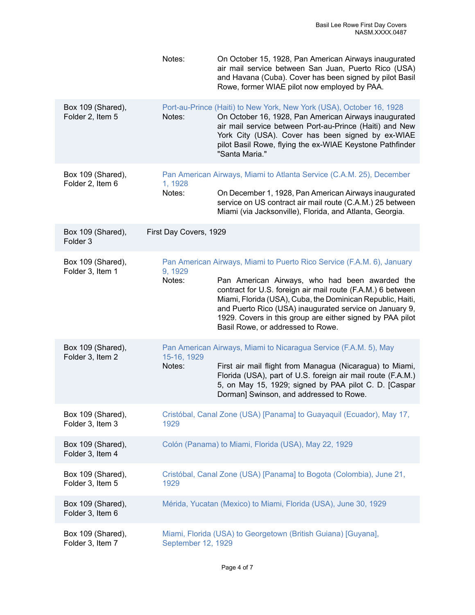|                                          | Notes:                 | On October 15, 1928, Pan American Airways inaugurated<br>air mail service between San Juan, Puerto Rico (USA)<br>and Havana (Cuba). Cover has been signed by pilot Basil<br>Rowe, former WIAE pilot now employed by PAA.                                                                                                                                                                                           |
|------------------------------------------|------------------------|--------------------------------------------------------------------------------------------------------------------------------------------------------------------------------------------------------------------------------------------------------------------------------------------------------------------------------------------------------------------------------------------------------------------|
| Box 109 (Shared),<br>Folder 2, Item 5    | Notes:                 | Port-au-Prince (Haiti) to New York, New York (USA), October 16, 1928<br>On October 16, 1928, Pan American Airways inaugurated<br>air mail service between Port-au-Prince (Haiti) and New<br>York City (USA). Cover has been signed by ex-WIAE<br>pilot Basil Rowe, flying the ex-WIAE Keystone Pathfinder<br>"Santa Maria."                                                                                        |
| Box 109 (Shared),<br>Folder 2, Item 6    | 1, 1928<br>Notes:      | Pan American Airways, Miami to Atlanta Service (C.A.M. 25), December<br>On December 1, 1928, Pan American Airways inaugurated                                                                                                                                                                                                                                                                                      |
|                                          |                        | service on US contract air mail route (C.A.M.) 25 between<br>Miami (via Jacksonville), Florida, and Atlanta, Georgia.                                                                                                                                                                                                                                                                                              |
| Box 109 (Shared),<br>Folder <sub>3</sub> | First Day Covers, 1929 |                                                                                                                                                                                                                                                                                                                                                                                                                    |
| Box 109 (Shared),<br>Folder 3, Item 1    | 9, 1929<br>Notes:      | Pan American Airways, Miami to Puerto Rico Service (F.A.M. 6), January<br>Pan American Airways, who had been awarded the<br>contract for U.S. foreign air mail route (F.A.M.) 6 between<br>Miami, Florida (USA), Cuba, the Dominican Republic, Haiti,<br>and Puerto Rico (USA) inaugurated service on January 9,<br>1929. Covers in this group are either signed by PAA pilot<br>Basil Rowe, or addressed to Rowe. |
| Box 109 (Shared),<br>Folder 3, Item 2    | 15-16, 1929<br>Notes:  | Pan American Airways, Miami to Nicaragua Service (F.A.M. 5), May<br>First air mail flight from Managua (Nicaragua) to Miami,<br>Florida (USA), part of U.S. foreign air mail route (F.A.M.)<br>5, on May 15, 1929; signed by PAA pilot C. D. [Caspar<br>Dorman] Swinson, and addressed to Rowe.                                                                                                                    |
| Box 109 (Shared),<br>Folder 3, Item 3    | 1929                   | Cristóbal, Canal Zone (USA) [Panama] to Guayaquil (Ecuador), May 17,                                                                                                                                                                                                                                                                                                                                               |
| Box 109 (Shared),<br>Folder 3, Item 4    |                        | Colón (Panama) to Miami, Florida (USA), May 22, 1929                                                                                                                                                                                                                                                                                                                                                               |
| Box 109 (Shared),<br>Folder 3, Item 5    | 1929                   | Cristóbal, Canal Zone (USA) [Panama] to Bogota (Colombia), June 21,                                                                                                                                                                                                                                                                                                                                                |
| Box 109 (Shared),<br>Folder 3, Item 6    |                        | Mérida, Yucatan (Mexico) to Miami, Florida (USA), June 30, 1929                                                                                                                                                                                                                                                                                                                                                    |
| Box 109 (Shared),<br>Folder 3, Item 7    | September 12, 1929     | Miami, Florida (USA) to Georgetown (British Guiana) [Guyana],                                                                                                                                                                                                                                                                                                                                                      |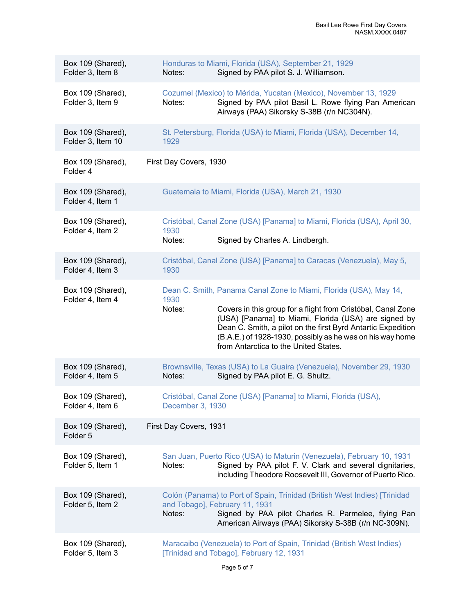| Box 109 (Shared),<br>Folder 3, Item 8  | Honduras to Miami, Florida (USA), September 21, 1929<br>Signed by PAA pilot S. J. Williamson.<br>Notes:                                                                                                                                                                                                                                                                           |
|----------------------------------------|-----------------------------------------------------------------------------------------------------------------------------------------------------------------------------------------------------------------------------------------------------------------------------------------------------------------------------------------------------------------------------------|
| Box 109 (Shared),<br>Folder 3, Item 9  | Cozumel (Mexico) to Mérida, Yucatan (Mexico), November 13, 1929<br>Signed by PAA pilot Basil L. Rowe flying Pan American<br>Notes:<br>Airways (PAA) Sikorsky S-38B (r/n NC304N).                                                                                                                                                                                                  |
| Box 109 (Shared),<br>Folder 3, Item 10 | St. Petersburg, Florida (USA) to Miami, Florida (USA), December 14,<br>1929                                                                                                                                                                                                                                                                                                       |
| Box 109 (Shared),<br>Folder 4          | First Day Covers, 1930                                                                                                                                                                                                                                                                                                                                                            |
| Box 109 (Shared),<br>Folder 4, Item 1  | Guatemala to Miami, Florida (USA), March 21, 1930                                                                                                                                                                                                                                                                                                                                 |
| Box 109 (Shared),<br>Folder 4, Item 2  | Cristóbal, Canal Zone (USA) [Panama] to Miami, Florida (USA), April 30,<br>1930<br>Signed by Charles A. Lindbergh.<br>Notes:                                                                                                                                                                                                                                                      |
| Box 109 (Shared),<br>Folder 4, Item 3  | Cristóbal, Canal Zone (USA) [Panama] to Caracas (Venezuela), May 5,<br>1930                                                                                                                                                                                                                                                                                                       |
| Box 109 (Shared),<br>Folder 4, Item 4  | Dean C. Smith, Panama Canal Zone to Miami, Florida (USA), May 14,<br>1930<br>Covers in this group for a flight from Cristóbal, Canal Zone<br>Notes:<br>(USA) [Panama] to Miami, Florida (USA) are signed by<br>Dean C. Smith, a pilot on the first Byrd Antartic Expedition<br>(B.A.E.) of 1928-1930, possibly as he was on his way home<br>from Antarctica to the United States. |
| Box 109 (Shared),<br>Folder 4, Item 5  | Brownsville, Texas (USA) to La Guaira (Venezuela), November 29, 1930<br>Notes:<br>Signed by PAA pilot E. G. Shultz.                                                                                                                                                                                                                                                               |
| Box 109 (Shared),<br>Folder 4, Item 6  | Cristóbal, Canal Zone (USA) [Panama] to Miami, Florida (USA),<br>December 3, 1930                                                                                                                                                                                                                                                                                                 |
| Box 109 (Shared),<br>Folder 5          | First Day Covers, 1931                                                                                                                                                                                                                                                                                                                                                            |
| Box 109 (Shared),<br>Folder 5, Item 1  | San Juan, Puerto Rico (USA) to Maturin (Venezuela), February 10, 1931<br>Signed by PAA pilot F. V. Clark and several dignitaries,<br>Notes:<br>including Theodore Roosevelt III, Governor of Puerto Rico.                                                                                                                                                                         |
| Box 109 (Shared),<br>Folder 5, Item 2  | Colón (Panama) to Port of Spain, Trinidad (British West Indies) [Trinidad<br>and Tobago], February 11, 1931<br>Signed by PAA pilot Charles R. Parmelee, flying Pan<br>Notes:<br>American Airways (PAA) Sikorsky S-38B (r/n NC-309N).                                                                                                                                              |
| Box 109 (Shared),<br>Folder 5, Item 3  | Maracaibo (Venezuela) to Port of Spain, Trinidad (British West Indies)<br>[Trinidad and Tobago], February 12, 1931                                                                                                                                                                                                                                                                |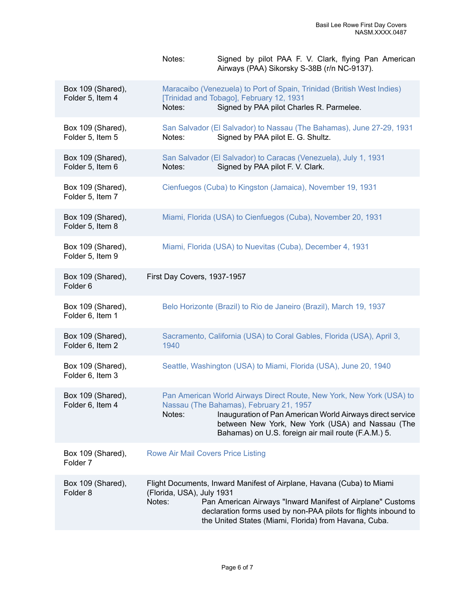|                                          | Signed by pilot PAA F. V. Clark, flying Pan American<br>Notes:<br>Airways (PAA) Sikorsky S-38B (r/n NC-9137).                                                                                                                                                                                          |
|------------------------------------------|--------------------------------------------------------------------------------------------------------------------------------------------------------------------------------------------------------------------------------------------------------------------------------------------------------|
| Box 109 (Shared),<br>Folder 5, Item 4    | Maracaibo (Venezuela) to Port of Spain, Trinidad (British West Indies)<br>[Trinidad and Tobago], February 12, 1931<br>Signed by PAA pilot Charles R. Parmelee.<br>Notes:                                                                                                                               |
| Box 109 (Shared),<br>Folder 5, Item 5    | San Salvador (El Salvador) to Nassau (The Bahamas), June 27-29, 1931<br>Signed by PAA pilot E. G. Shultz.<br>Notes:                                                                                                                                                                                    |
| Box 109 (Shared),<br>Folder 5, Item 6    | San Salvador (El Salvador) to Caracas (Venezuela), July 1, 1931<br>Signed by PAA pilot F. V. Clark.<br>Notes:                                                                                                                                                                                          |
| Box 109 (Shared),<br>Folder 5, Item 7    | Cienfuegos (Cuba) to Kingston (Jamaica), November 19, 1931                                                                                                                                                                                                                                             |
| Box 109 (Shared),<br>Folder 5, Item 8    | Miami, Florida (USA) to Cienfuegos (Cuba), November 20, 1931                                                                                                                                                                                                                                           |
| Box 109 (Shared),<br>Folder 5, Item 9    | Miami, Florida (USA) to Nuevitas (Cuba), December 4, 1931                                                                                                                                                                                                                                              |
| Box 109 (Shared),<br>Folder <sub>6</sub> | First Day Covers, 1937-1957                                                                                                                                                                                                                                                                            |
| Box 109 (Shared),<br>Folder 6, Item 1    | Belo Horizonte (Brazil) to Rio de Janeiro (Brazil), March 19, 1937                                                                                                                                                                                                                                     |
| Box 109 (Shared),<br>Folder 6, Item 2    | Sacramento, California (USA) to Coral Gables, Florida (USA), April 3,<br>1940                                                                                                                                                                                                                          |
| Box 109 (Shared),<br>Folder 6, Item 3    | Seattle, Washington (USA) to Miami, Florida (USA), June 20, 1940                                                                                                                                                                                                                                       |
| Box 109 (Shared),<br>Folder 6, Item 4    | Pan American World Airways Direct Route, New York, New York (USA) to<br>Nassau (The Bahamas), February 21, 1957<br>Inauguration of Pan American World Airways direct service<br>Notes:<br>between New York, New York (USA) and Nassau (The<br>Bahamas) on U.S. foreign air mail route (F.A.M.) 5.      |
| Box 109 (Shared),<br>Folder <sub>7</sub> | <b>Rowe Air Mail Covers Price Listing</b>                                                                                                                                                                                                                                                              |
| Box 109 (Shared),<br>Folder <sub>8</sub> | Flight Documents, Inward Manifest of Airplane, Havana (Cuba) to Miami<br>(Florida, USA), July 1931<br>Pan American Airways "Inward Manifest of Airplane" Customs<br>Notes:<br>declaration forms used by non-PAA pilots for flights inbound to<br>the United States (Miami, Florida) from Havana, Cuba. |